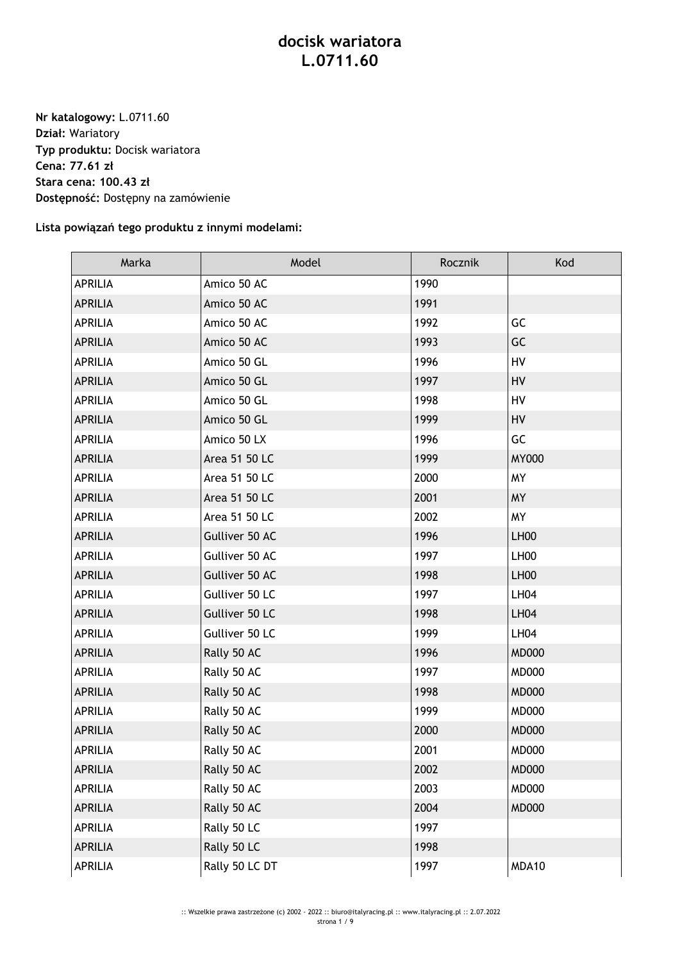## **docisk wariatora L.0711.60**

**Nr katalogowy:** L.0711.60 **Dział:** Wariatory **Typ produktu:** Docisk wariatora **Cena: 77.61 zł Stara cena: 100.43 zł Dostępność:** Dostępny na zamówienie

## **Lista powiązań tego produktu z innymi modelami:**

| Marka          | Model          | Rocznik | Kod              |
|----------------|----------------|---------|------------------|
| <b>APRILIA</b> | Amico 50 AC    | 1990    |                  |
| <b>APRILIA</b> | Amico 50 AC    | 1991    |                  |
| <b>APRILIA</b> | Amico 50 AC    | 1992    | GC               |
| <b>APRILIA</b> | Amico 50 AC    | 1993    | GC               |
| <b>APRILIA</b> | Amico 50 GL    | 1996    | HV               |
| <b>APRILIA</b> | Amico 50 GL    | 1997    | HV               |
| <b>APRILIA</b> | Amico 50 GL    | 1998    | <b>HV</b>        |
| <b>APRILIA</b> | Amico 50 GL    | 1999    | HV               |
| <b>APRILIA</b> | Amico 50 LX    | 1996    | GC               |
| <b>APRILIA</b> | Area 51 50 LC  | 1999    | <b>MY000</b>     |
| <b>APRILIA</b> | Area 51 50 LC  | 2000    | <b>MY</b>        |
| <b>APRILIA</b> | Area 51 50 LC  | 2001    | <b>MY</b>        |
| <b>APRILIA</b> | Area 51 50 LC  | 2002    | <b>MY</b>        |
| <b>APRILIA</b> | Gulliver 50 AC | 1996    | <b>LH00</b>      |
| <b>APRILIA</b> | Gulliver 50 AC | 1997    | LH <sub>00</sub> |
| <b>APRILIA</b> | Gulliver 50 AC | 1998    | LH <sub>00</sub> |
| <b>APRILIA</b> | Gulliver 50 LC | 1997    | <b>LH04</b>      |
| <b>APRILIA</b> | Gulliver 50 LC | 1998    | <b>LH04</b>      |
| <b>APRILIA</b> | Gulliver 50 LC | 1999    | <b>LH04</b>      |
| <b>APRILIA</b> | Rally 50 AC    | 1996    | <b>MD000</b>     |
| <b>APRILIA</b> | Rally 50 AC    | 1997    | <b>MD000</b>     |
| <b>APRILIA</b> | Rally 50 AC    | 1998    | <b>MD000</b>     |
| <b>APRILIA</b> | Rally 50 AC    | 1999    | <b>MD000</b>     |
| <b>APRILIA</b> | Rally 50 AC    | 2000    | <b>MD000</b>     |
| <b>APRILIA</b> | Rally 50 AC    | 2001    | <b>MD000</b>     |
| <b>APRILIA</b> | Rally 50 AC    | 2002    | <b>MD000</b>     |
| APRILIA        | Rally 50 AC    | 2003    | <b>MD000</b>     |
| <b>APRILIA</b> | Rally 50 AC    | 2004    | <b>MD000</b>     |
| <b>APRILIA</b> | Rally 50 LC    | 1997    |                  |
| <b>APRILIA</b> | Rally 50 LC    | 1998    |                  |
| APRILIA        | Rally 50 LC DT | 1997    | MDA10            |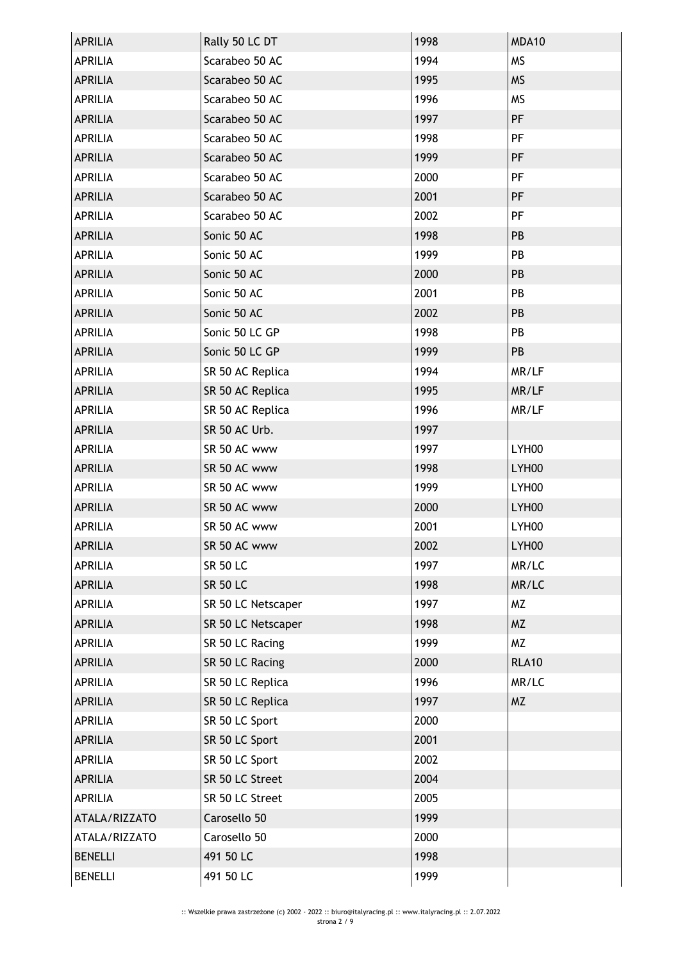| <b>APRILIA</b> | Rally 50 LC DT     | 1998 | MDA10        |
|----------------|--------------------|------|--------------|
| <b>APRILIA</b> | Scarabeo 50 AC     | 1994 | <b>MS</b>    |
| <b>APRILIA</b> | Scarabeo 50 AC     | 1995 | <b>MS</b>    |
| APRILIA        | Scarabeo 50 AC     | 1996 | <b>MS</b>    |
| <b>APRILIA</b> | Scarabeo 50 AC     | 1997 | PF           |
| APRILIA        | Scarabeo 50 AC     | 1998 | PF           |
| <b>APRILIA</b> | Scarabeo 50 AC     | 1999 | PF           |
| <b>APRILIA</b> | Scarabeo 50 AC     | 2000 | PF           |
| <b>APRILIA</b> | Scarabeo 50 AC     | 2001 | PF           |
| <b>APRILIA</b> | Scarabeo 50 AC     | 2002 | PF           |
| <b>APRILIA</b> | Sonic 50 AC        | 1998 | PB           |
| <b>APRILIA</b> | Sonic 50 AC        | 1999 | PB           |
| <b>APRILIA</b> | Sonic 50 AC        | 2000 | PB           |
| <b>APRILIA</b> | Sonic 50 AC        | 2001 | PB           |
| <b>APRILIA</b> | Sonic 50 AC        | 2002 | PB           |
| <b>APRILIA</b> | Sonic 50 LC GP     | 1998 | PB           |
| <b>APRILIA</b> | Sonic 50 LC GP     | 1999 | PB           |
| <b>APRILIA</b> | SR 50 AC Replica   | 1994 | MR/LF        |
| <b>APRILIA</b> | SR 50 AC Replica   | 1995 | MR/LF        |
| APRILIA        | SR 50 AC Replica   | 1996 | MR/LF        |
| <b>APRILIA</b> | SR 50 AC Urb.      | 1997 |              |
| <b>APRILIA</b> | SR 50 AC www       | 1997 | LYH00        |
| <b>APRILIA</b> | SR 50 AC www       | 1998 | LYH00        |
| <b>APRILIA</b> | SR 50 AC www       | 1999 | LYH00        |
| <b>APRILIA</b> | SR 50 AC www       | 2000 | LYH00        |
| APRILIA        | SR 50 AC www       | 2001 | LYH00        |
| <b>APRILIA</b> | SR 50 AC www       | 2002 | LYH00        |
| <b>APRILIA</b> | <b>SR 50 LC</b>    | 1997 | MR/LC        |
| <b>APRILIA</b> | <b>SR 50 LC</b>    | 1998 | MR/LC        |
| <b>APRILIA</b> | SR 50 LC Netscaper | 1997 | <b>MZ</b>    |
| <b>APRILIA</b> | SR 50 LC Netscaper | 1998 | <b>MZ</b>    |
| <b>APRILIA</b> | SR 50 LC Racing    | 1999 | <b>MZ</b>    |
| <b>APRILIA</b> | SR 50 LC Racing    | 2000 | <b>RLA10</b> |
| <b>APRILIA</b> | SR 50 LC Replica   | 1996 | MR/LC        |
| <b>APRILIA</b> | SR 50 LC Replica   | 1997 | <b>MZ</b>    |
| APRILIA        | SR 50 LC Sport     | 2000 |              |
| <b>APRILIA</b> | SR 50 LC Sport     | 2001 |              |
| <b>APRILIA</b> | SR 50 LC Sport     | 2002 |              |
| <b>APRILIA</b> | SR 50 LC Street    | 2004 |              |
| <b>APRILIA</b> | SR 50 LC Street    | 2005 |              |
| ATALA/RIZZATO  | Carosello 50       | 1999 |              |
| ATALA/RIZZATO  | Carosello 50       | 2000 |              |
| <b>BENELLI</b> | 491 50 LC          | 1998 |              |
| <b>BENELLI</b> | 491 50 LC          | 1999 |              |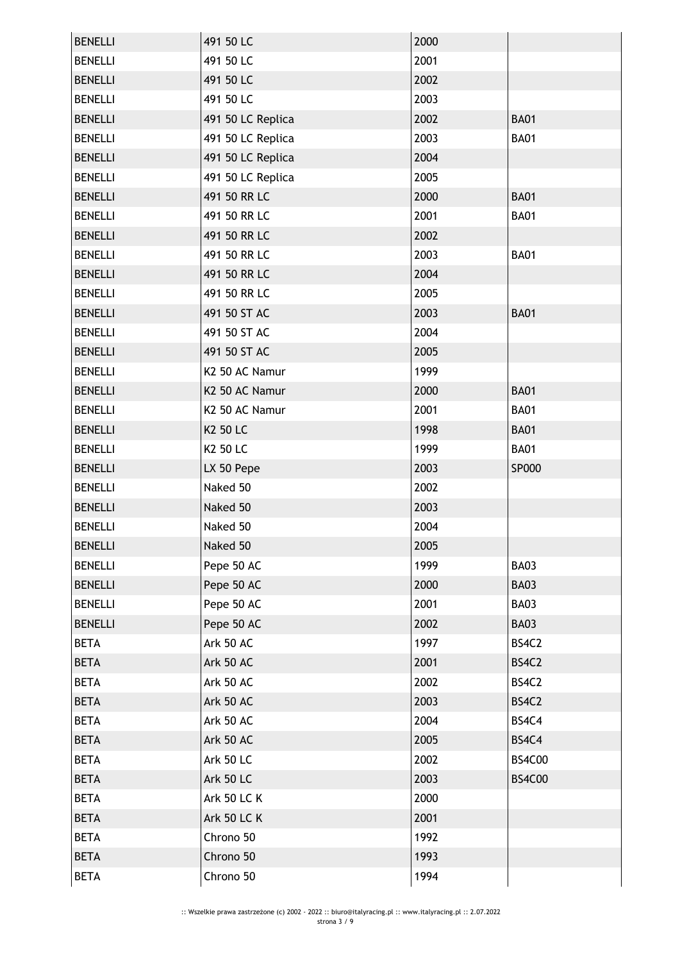| <b>BENELLI</b> | 491 50 LC          | 2000 |               |
|----------------|--------------------|------|---------------|
| <b>BENELLI</b> | 491 50 LC          | 2001 |               |
| <b>BENELLI</b> | 491 50 LC          | 2002 |               |
| <b>BENELLI</b> | 491 50 LC          | 2003 |               |
| <b>BENELLI</b> | 491 50 LC Replica  | 2002 | <b>BA01</b>   |
| <b>BENELLI</b> | 491 50 LC Replica  | 2003 | <b>BA01</b>   |
| <b>BENELLI</b> | 491 50 LC Replica  | 2004 |               |
| <b>BENELLI</b> | 491 50 LC Replica  | 2005 |               |
| <b>BENELLI</b> | 491 50 RR LC       | 2000 | <b>BA01</b>   |
| <b>BENELLI</b> | 491 50 RR LC       | 2001 | <b>BA01</b>   |
| <b>BENELLI</b> | 491 50 RR LC       | 2002 |               |
| <b>BENELLI</b> | 491 50 RR LC       | 2003 | <b>BA01</b>   |
| <b>BENELLI</b> | 491 50 RR LC       | 2004 |               |
| <b>BENELLI</b> | 491 50 RR LC       | 2005 |               |
| <b>BENELLI</b> | 491 50 ST AC       | 2003 | <b>BA01</b>   |
| <b>BENELLI</b> | 491 50 ST AC       | 2004 |               |
| <b>BENELLI</b> | 491 50 ST AC       | 2005 |               |
| <b>BENELLI</b> | K2 50 AC Namur     | 1999 |               |
| <b>BENELLI</b> | K2 50 AC Namur     | 2000 | <b>BA01</b>   |
| <b>BENELLI</b> | K2 50 AC Namur     | 2001 | <b>BA01</b>   |
| <b>BENELLI</b> | K2 50 LC           | 1998 | <b>BA01</b>   |
| <b>BENELLI</b> | K2 50 LC           | 1999 | <b>BA01</b>   |
| <b>BENELLI</b> | LX 50 Pepe         | 2003 | <b>SP000</b>  |
| <b>BENELLI</b> | Naked 50           | 2002 |               |
| <b>BENELLI</b> | Naked 50           | 2003 |               |
| <b>BENELLI</b> | Naked 50           | 2004 |               |
| <b>BENELLI</b> | Naked 50           | 2005 |               |
| <b>BENELLI</b> | Pepe 50 AC         | 1999 | <b>BA03</b>   |
| <b>BENELLI</b> | Pepe 50 AC         | 2000 | <b>BA03</b>   |
| <b>BENELLI</b> | Pepe 50 AC         | 2001 | <b>BA03</b>   |
| <b>BENELLI</b> | Pepe 50 AC         | 2002 | <b>BA03</b>   |
| <b>BETA</b>    | Ark 50 AC          | 1997 | BS4C2         |
| <b>BETA</b>    | Ark 50 AC          | 2001 | BS4C2         |
| <b>BETA</b>    | Ark 50 AC          | 2002 | BS4C2         |
| <b>BETA</b>    | Ark 50 AC          | 2003 | BS4C2         |
| <b>BETA</b>    | Ark 50 AC          | 2004 | BS4C4         |
| <b>BETA</b>    | Ark 50 AC          | 2005 | BS4C4         |
| <b>BETA</b>    | <b>Ark 50 LC</b>   | 2002 | <b>BS4C00</b> |
| <b>BETA</b>    | <b>Ark 50 LC</b>   | 2003 | <b>BS4C00</b> |
| <b>BETA</b>    | <b>Ark 50 LC K</b> | 2000 |               |
| <b>BETA</b>    | <b>Ark 50 LC K</b> | 2001 |               |
| <b>BETA</b>    | Chrono 50          | 1992 |               |
| <b>BETA</b>    | Chrono 50          | 1993 |               |
| <b>BETA</b>    | Chrono 50          | 1994 |               |
|                |                    |      |               |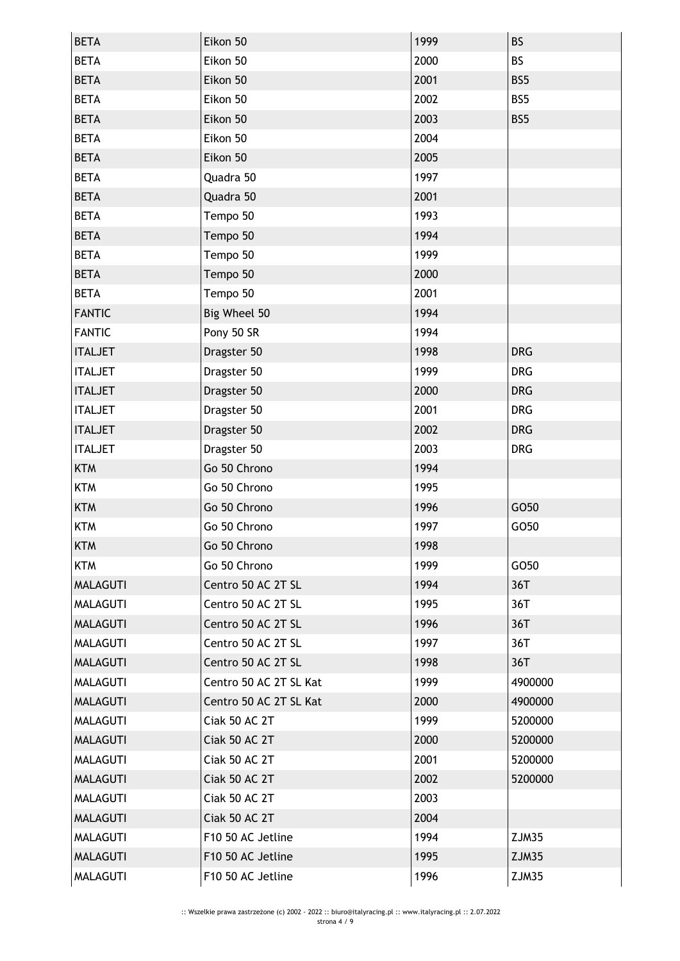| <b>BETA</b>     | Eikon 50               | 1999 | <b>BS</b>    |
|-----------------|------------------------|------|--------------|
| <b>BETA</b>     | Eikon 50               | 2000 | <b>BS</b>    |
| <b>BETA</b>     | Eikon 50               | 2001 | BS5          |
| <b>BETA</b>     | Eikon 50               | 2002 | BS5          |
| <b>BETA</b>     | Eikon 50               | 2003 | BS5          |
| <b>BETA</b>     | Eikon 50               | 2004 |              |
| <b>BETA</b>     | Eikon 50               | 2005 |              |
| <b>BETA</b>     | Quadra 50              | 1997 |              |
| <b>BETA</b>     | Quadra 50              | 2001 |              |
| <b>BETA</b>     | Tempo 50               | 1993 |              |
| <b>BETA</b>     | Tempo 50               | 1994 |              |
| <b>BETA</b>     | Tempo 50               | 1999 |              |
| <b>BETA</b>     | Tempo 50               | 2000 |              |
| <b>BETA</b>     | Tempo 50               | 2001 |              |
| <b>FANTIC</b>   | Big Wheel 50           | 1994 |              |
| <b>FANTIC</b>   | Pony 50 SR             | 1994 |              |
| <b>ITALJET</b>  | Dragster 50            | 1998 | <b>DRG</b>   |
| <b>ITALJET</b>  | Dragster 50            | 1999 | <b>DRG</b>   |
| <b>ITALJET</b>  | Dragster 50            | 2000 | <b>DRG</b>   |
| <b>ITALJET</b>  | Dragster 50            | 2001 | <b>DRG</b>   |
| <b>ITALJET</b>  | Dragster 50            | 2002 | <b>DRG</b>   |
| <b>ITALJET</b>  | Dragster 50            | 2003 | <b>DRG</b>   |
| <b>KTM</b>      | Go 50 Chrono           | 1994 |              |
| <b>KTM</b>      | Go 50 Chrono           | 1995 |              |
| <b>KTM</b>      | Go 50 Chrono           | 1996 | GO50         |
| <b>KTM</b>      | Go 50 Chrono           | 1997 | GO50         |
| <b>KTM</b>      | Go 50 Chrono           | 1998 |              |
| <b>KTM</b>      | Go 50 Chrono           | 1999 | GO50         |
| <b>MALAGUTI</b> | Centro 50 AC 2T SL     | 1994 | 36T          |
| <b>MALAGUTI</b> | Centro 50 AC 2T SL     | 1995 | 36T          |
| <b>MALAGUTI</b> | Centro 50 AC 2T SL     | 1996 | 36T          |
| <b>MALAGUTI</b> | Centro 50 AC 2T SL     | 1997 | 36T          |
| <b>MALAGUTI</b> | Centro 50 AC 2T SL     | 1998 | 36T          |
| <b>MALAGUTI</b> | Centro 50 AC 2T SL Kat | 1999 | 4900000      |
| <b>MALAGUTI</b> | Centro 50 AC 2T SL Kat | 2000 | 4900000      |
| <b>MALAGUTI</b> | Ciak 50 AC 2T          | 1999 | 5200000      |
| <b>MALAGUTI</b> | Ciak 50 AC 2T          | 2000 | 5200000      |
| <b>MALAGUTI</b> | Ciak 50 AC 2T          | 2001 | 5200000      |
| <b>MALAGUTI</b> | Ciak 50 AC 2T          | 2002 | 5200000      |
| <b>MALAGUTI</b> | Ciak 50 AC 2T          | 2003 |              |
| <b>MALAGUTI</b> | Ciak 50 AC 2T          | 2004 |              |
| <b>MALAGUTI</b> | F10 50 AC Jetline      | 1994 | ZJM35        |
| <b>MALAGUTI</b> | F10 50 AC Jetline      | 1995 | <b>ZJM35</b> |
| <b>MALAGUTI</b> | F10 50 AC Jetline      | 1996 | ZJM35        |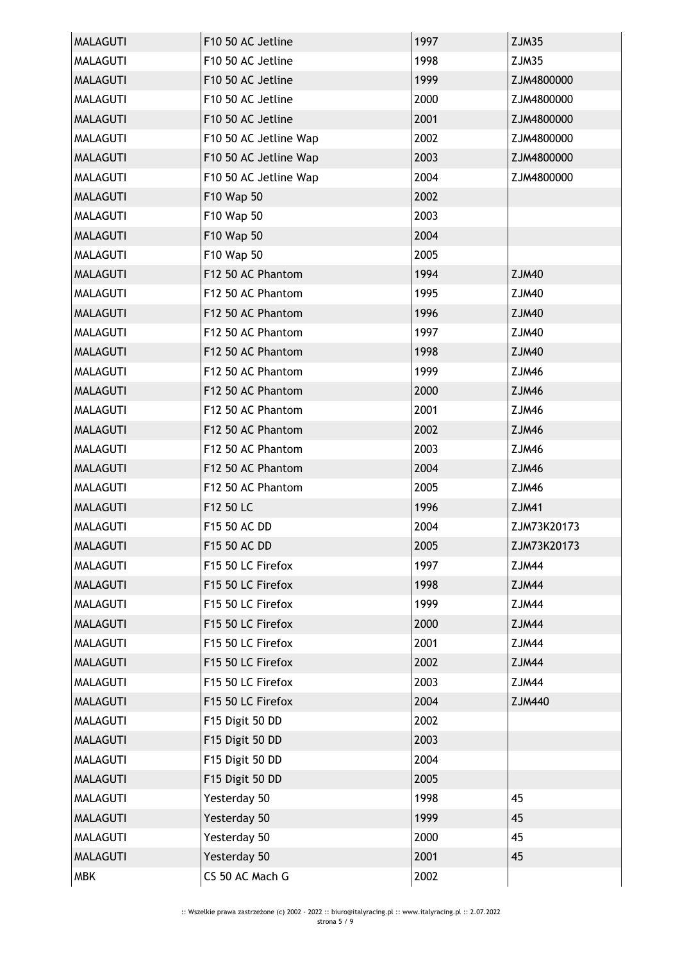| <b>MALAGUTI</b> | F10 50 AC Jetline     | 1997 | ZJM35        |
|-----------------|-----------------------|------|--------------|
| <b>MALAGUTI</b> | F10 50 AC Jetline     | 1998 | <b>ZJM35</b> |
| <b>MALAGUTI</b> | F10 50 AC Jetline     | 1999 | ZJM4800000   |
| <b>MALAGUTI</b> | F10 50 AC Jetline     | 2000 | ZJM4800000   |
| <b>MALAGUTI</b> | F10 50 AC Jetline     | 2001 | ZJM4800000   |
| <b>MALAGUTI</b> | F10 50 AC Jetline Wap | 2002 | ZJM4800000   |
| <b>MALAGUTI</b> | F10 50 AC Jetline Wap | 2003 | ZJM4800000   |
| <b>MALAGUTI</b> | F10 50 AC Jetline Wap | 2004 | ZJM4800000   |
| <b>MALAGUTI</b> | F10 Wap 50            | 2002 |              |
| <b>MALAGUTI</b> | F10 Wap 50            | 2003 |              |
| <b>MALAGUTI</b> | F10 Wap 50            | 2004 |              |
| <b>MALAGUTI</b> | F10 Wap 50            | 2005 |              |
| <b>MALAGUTI</b> | F12 50 AC Phantom     | 1994 | <b>ZJM40</b> |
| <b>MALAGUTI</b> | F12 50 AC Phantom     | 1995 | <b>ZJM40</b> |
| <b>MALAGUTI</b> | F12 50 AC Phantom     | 1996 | <b>ZJM40</b> |
| <b>MALAGUTI</b> | F12 50 AC Phantom     | 1997 | <b>ZJM40</b> |
| <b>MALAGUTI</b> | F12 50 AC Phantom     | 1998 | <b>ZJM40</b> |
| <b>MALAGUTI</b> | F12 50 AC Phantom     | 1999 | ZJM46        |
| <b>MALAGUTI</b> | F12 50 AC Phantom     | 2000 | <b>ZJM46</b> |
| <b>MALAGUTI</b> | F12 50 AC Phantom     | 2001 | ZJM46        |
| <b>MALAGUTI</b> | F12 50 AC Phantom     | 2002 | <b>ZJM46</b> |
| <b>MALAGUTI</b> | F12 50 AC Phantom     | 2003 | ZJM46        |
| <b>MALAGUTI</b> | F12 50 AC Phantom     | 2004 | <b>ZJM46</b> |
| <b>MALAGUTI</b> | F12 50 AC Phantom     | 2005 | ZJM46        |
| <b>MALAGUTI</b> | F12 50 LC             | 1996 | <b>ZJM41</b> |
| <b>MALAGUTI</b> | F15 50 AC DD          | 2004 | ZJM73K20173  |
| <b>MALAGUTI</b> | F15 50 AC DD          | 2005 | ZJM73K20173  |
| <b>MALAGUTI</b> | F15 50 LC Firefox     | 1997 | ZJM44        |
| <b>MALAGUTI</b> | F15 50 LC Firefox     | 1998 | ZJM44        |
| <b>MALAGUTI</b> | F15 50 LC Firefox     | 1999 | ZJM44        |
| <b>MALAGUTI</b> | F15 50 LC Firefox     | 2000 | ZJM44        |
| <b>MALAGUTI</b> | F15 50 LC Firefox     | 2001 | ZJM44        |
| <b>MALAGUTI</b> | F15 50 LC Firefox     | 2002 | <b>ZJM44</b> |
| <b>MALAGUTI</b> | F15 50 LC Firefox     | 2003 | ZJM44        |
| <b>MALAGUTI</b> | F15 50 LC Firefox     | 2004 | ZJM440       |
| <b>MALAGUTI</b> | F15 Digit 50 DD       | 2002 |              |
| <b>MALAGUTI</b> | F15 Digit 50 DD       | 2003 |              |
| MALAGUTI        | F15 Digit 50 DD       | 2004 |              |
| <b>MALAGUTI</b> | F15 Digit 50 DD       | 2005 |              |
| <b>MALAGUTI</b> | Yesterday 50          | 1998 | 45           |
| <b>MALAGUTI</b> | Yesterday 50          | 1999 | 45           |
| <b>MALAGUTI</b> | Yesterday 50          | 2000 | 45           |
| <b>MALAGUTI</b> | Yesterday 50          | 2001 | 45           |
| <b>MBK</b>      | CS 50 AC Mach G       | 2002 |              |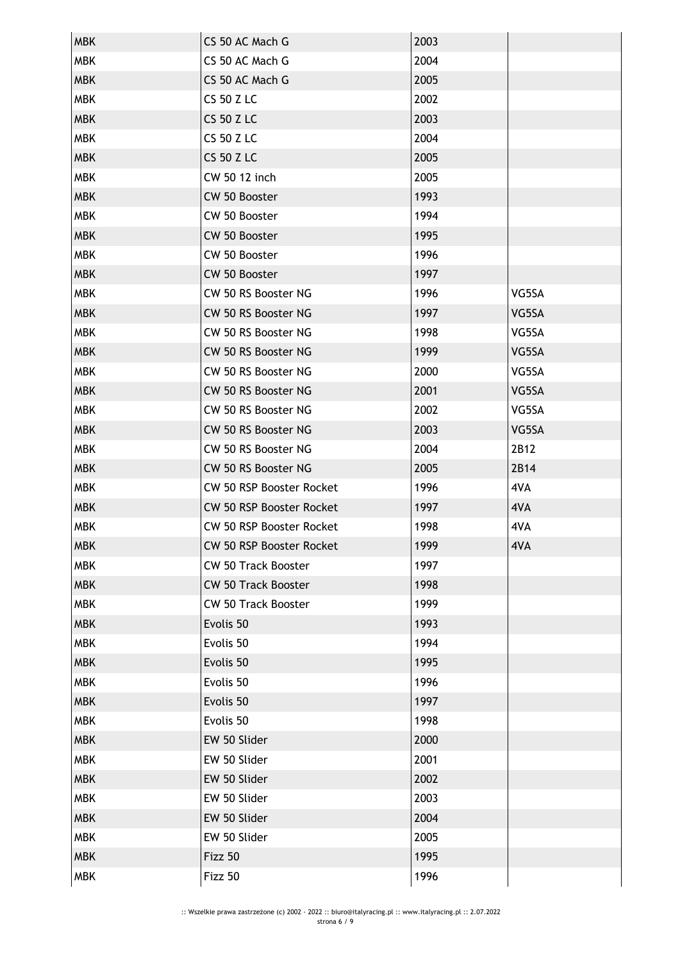| <b>MBK</b> | CS 50 AC Mach G                 | 2003 |       |
|------------|---------------------------------|------|-------|
| <b>MBK</b> | CS 50 AC Mach G                 | 2004 |       |
| <b>MBK</b> | CS 50 AC Mach G                 | 2005 |       |
| <b>MBK</b> | <b>CS 50 Z LC</b>               | 2002 |       |
| <b>MBK</b> | <b>CS 50 Z LC</b>               | 2003 |       |
| <b>MBK</b> | <b>CS 50 Z LC</b>               | 2004 |       |
| <b>MBK</b> | <b>CS 50 Z LC</b>               | 2005 |       |
| <b>MBK</b> | CW 50 12 inch                   | 2005 |       |
| <b>MBK</b> | CW 50 Booster                   | 1993 |       |
| <b>MBK</b> | CW 50 Booster                   | 1994 |       |
| <b>MBK</b> | CW 50 Booster                   | 1995 |       |
| <b>MBK</b> | CW 50 Booster                   | 1996 |       |
| <b>MBK</b> | CW 50 Booster                   | 1997 |       |
| <b>MBK</b> | CW 50 RS Booster NG             | 1996 | VG5SA |
| <b>MBK</b> | CW 50 RS Booster NG             | 1997 | VG5SA |
| <b>MBK</b> | CW 50 RS Booster NG             | 1998 | VG5SA |
| <b>MBK</b> | CW 50 RS Booster NG             | 1999 | VG5SA |
| <b>MBK</b> | CW 50 RS Booster NG             | 2000 | VG5SA |
| <b>MBK</b> | CW 50 RS Booster NG             | 2001 | VG5SA |
| <b>MBK</b> | CW 50 RS Booster NG             | 2002 | VG5SA |
| <b>MBK</b> | CW 50 RS Booster NG             | 2003 | VG5SA |
| <b>MBK</b> | CW 50 RS Booster NG             | 2004 | 2B12  |
| <b>MBK</b> | CW 50 RS Booster NG             | 2005 | 2B14  |
| <b>MBK</b> | CW 50 RSP Booster Rocket        | 1996 | 4VA   |
| <b>MBK</b> | CW 50 RSP Booster Rocket        | 1997 | 4VA   |
| <b>MBK</b> | <b>CW 50 RSP Booster Rocket</b> | 1998 | 4VA   |
| <b>MBK</b> | CW 50 RSP Booster Rocket        | 1999 | 4VA   |
| <b>MBK</b> | <b>CW 50 Track Booster</b>      | 1997 |       |
| <b>MBK</b> | <b>CW 50 Track Booster</b>      | 1998 |       |
| <b>MBK</b> | <b>CW 50 Track Booster</b>      | 1999 |       |
| <b>MBK</b> | Evolis 50                       | 1993 |       |
| <b>MBK</b> | Evolis 50                       | 1994 |       |
| <b>MBK</b> | Evolis 50                       | 1995 |       |
| <b>MBK</b> | Evolis 50                       | 1996 |       |
| <b>MBK</b> | Evolis 50                       | 1997 |       |
| <b>MBK</b> | Evolis 50                       | 1998 |       |
| <b>MBK</b> | EW 50 Slider                    | 2000 |       |
| <b>MBK</b> | EW 50 Slider                    | 2001 |       |
| <b>MBK</b> | EW 50 Slider                    | 2002 |       |
| <b>MBK</b> | EW 50 Slider                    | 2003 |       |
| <b>MBK</b> | EW 50 Slider                    | 2004 |       |
| <b>MBK</b> | EW 50 Slider                    | 2005 |       |
| <b>MBK</b> | Fizz 50                         | 1995 |       |
| <b>MBK</b> | Fizz 50                         | 1996 |       |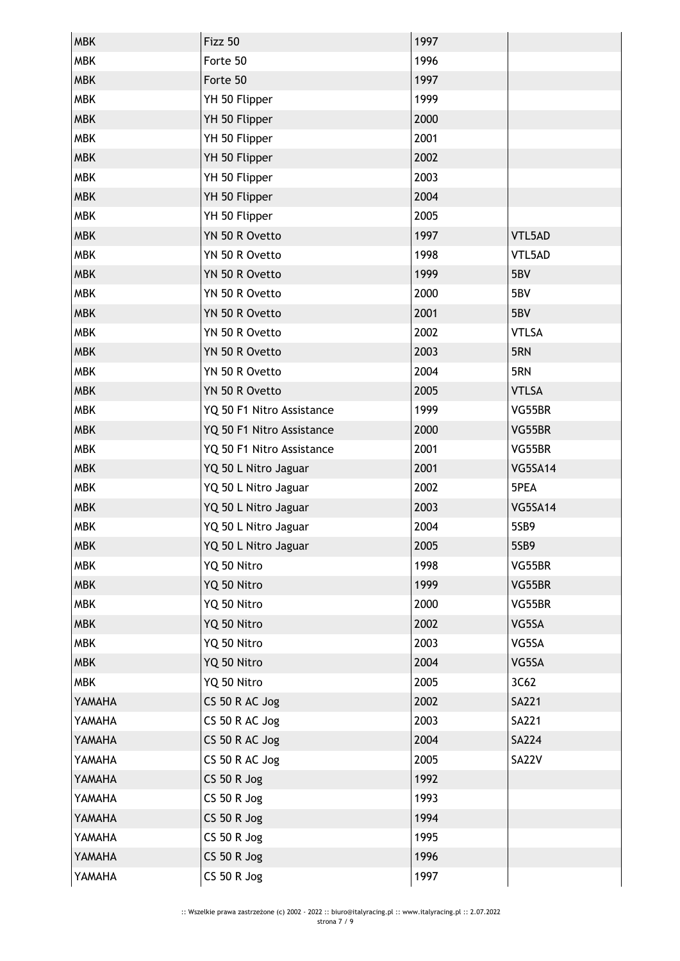| <b>MBK</b> | Fizz 50                   | 1997 |                |
|------------|---------------------------|------|----------------|
| <b>MBK</b> | Forte 50                  | 1996 |                |
| <b>MBK</b> | Forte 50                  | 1997 |                |
| <b>MBK</b> | YH 50 Flipper             | 1999 |                |
| <b>MBK</b> | YH 50 Flipper             | 2000 |                |
| <b>MBK</b> | YH 50 Flipper             | 2001 |                |
| <b>MBK</b> | YH 50 Flipper             | 2002 |                |
| <b>MBK</b> | YH 50 Flipper             | 2003 |                |
| <b>MBK</b> | YH 50 Flipper             | 2004 |                |
| <b>MBK</b> | YH 50 Flipper             | 2005 |                |
| <b>MBK</b> | YN 50 R Ovetto            | 1997 | VTL5AD         |
| <b>MBK</b> | YN 50 R Ovetto            | 1998 | VTL5AD         |
| <b>MBK</b> | YN 50 R Ovetto            | 1999 | 5BV            |
| <b>MBK</b> | YN 50 R Ovetto            | 2000 | 5BV            |
| <b>MBK</b> | YN 50 R Ovetto            | 2001 | 5BV            |
| <b>MBK</b> | YN 50 R Ovetto            | 2002 | <b>VTLSA</b>   |
| <b>MBK</b> | YN 50 R Ovetto            | 2003 | 5RN            |
| <b>MBK</b> | YN 50 R Ovetto            | 2004 | 5RN            |
| <b>MBK</b> | YN 50 R Ovetto            | 2005 | <b>VTLSA</b>   |
| <b>MBK</b> | YQ 50 F1 Nitro Assistance | 1999 | VG55BR         |
| <b>MBK</b> | YQ 50 F1 Nitro Assistance | 2000 | VG55BR         |
| <b>MBK</b> | YQ 50 F1 Nitro Assistance | 2001 | VG55BR         |
| <b>MBK</b> | YQ 50 L Nitro Jaguar      | 2001 | <b>VG5SA14</b> |
| <b>MBK</b> | YQ 50 L Nitro Jaguar      | 2002 | 5PEA           |
| <b>MBK</b> | YQ 50 L Nitro Jaguar      | 2003 | <b>VG5SA14</b> |
| <b>MBK</b> | YQ 50 L Nitro Jaguar      | 2004 | 5SB9           |
| <b>MBK</b> | YQ 50 L Nitro Jaguar      | 2005 | 5SB9           |
| <b>MBK</b> | YQ 50 Nitro               | 1998 | VG55BR         |
| <b>MBK</b> | YQ 50 Nitro               | 1999 | VG55BR         |
| <b>MBK</b> | YQ 50 Nitro               | 2000 | VG55BR         |
| <b>MBK</b> | YQ 50 Nitro               | 2002 | VG5SA          |
| <b>MBK</b> | YQ 50 Nitro               | 2003 | VG5SA          |
| <b>MBK</b> | YQ 50 Nitro               | 2004 | VG5SA          |
| <b>MBK</b> | YQ 50 Nitro               | 2005 | 3C62           |
| YAMAHA     | CS 50 R AC Jog            | 2002 | <b>SA221</b>   |
| YAMAHA     | CS 50 R AC Jog            | 2003 | <b>SA221</b>   |
| YAMAHA     | CS 50 R AC Jog            | 2004 | <b>SA224</b>   |
| YAMAHA     | CS 50 R AC Jog            | 2005 | <b>SA22V</b>   |
| YAMAHA     | <b>CS 50 R Jog</b>        | 1992 |                |
| YAMAHA     | CS 50 R Jog               | 1993 |                |
| YAMAHA     | <b>CS 50 R Jog</b>        | 1994 |                |
| YAMAHA     | $CS$ 50 R Jog             | 1995 |                |
| YAMAHA     | <b>CS 50 R Jog</b>        | 1996 |                |
| YAMAHA     | <b>CS 50 R Jog</b>        | 1997 |                |
|            |                           |      |                |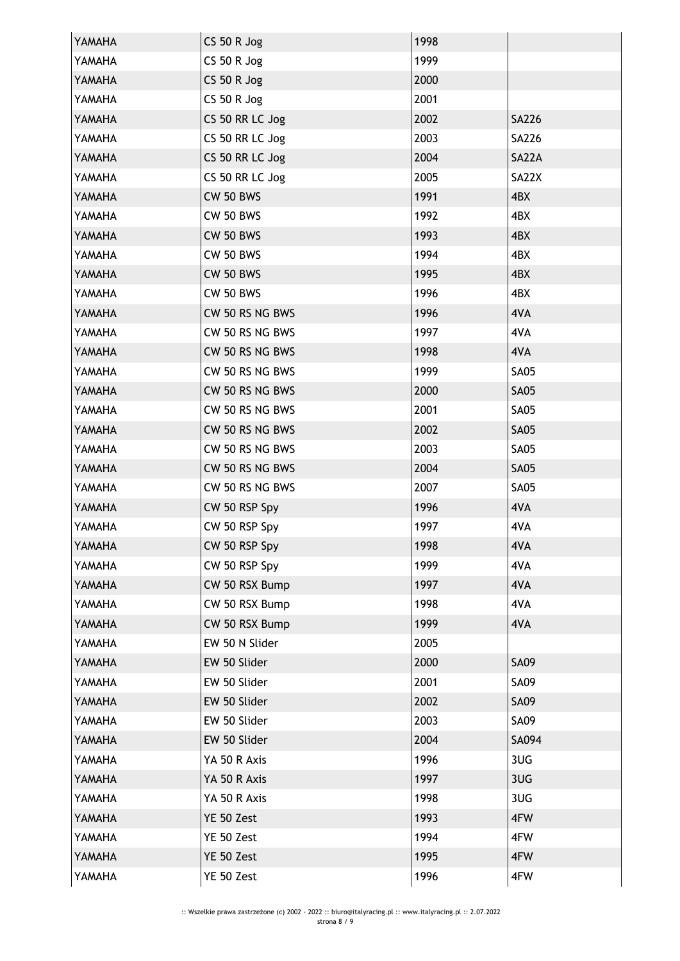| YAMAHA | CS 50 R Jog        | 1998 |              |
|--------|--------------------|------|--------------|
| YAMAHA | CS 50 R Jog        | 1999 |              |
| YAMAHA | <b>CS 50 R Jog</b> | 2000 |              |
| YAMAHA | <b>CS 50 R Jog</b> | 2001 |              |
| YAMAHA | CS 50 RR LC Jog    | 2002 | <b>SA226</b> |
| YAMAHA | CS 50 RR LC Jog    | 2003 | SA226        |
| YAMAHA | CS 50 RR LC Jog    | 2004 | SA22A        |
| YAMAHA | CS 50 RR LC Jog    | 2005 | SA22X        |
| YAMAHA | <b>CW 50 BWS</b>   | 1991 | 4BX          |
| YAMAHA | <b>CW 50 BWS</b>   | 1992 | 4BX          |
| YAMAHA | <b>CW 50 BWS</b>   | 1993 | 4BX          |
| YAMAHA | <b>CW 50 BWS</b>   | 1994 | 4BX          |
| YAMAHA | <b>CW 50 BWS</b>   | 1995 | 4BX          |
| YAMAHA | <b>CW 50 BWS</b>   | 1996 | 4BX          |
| YAMAHA | CW 50 RS NG BWS    | 1996 | 4VA          |
| YAMAHA | CW 50 RS NG BWS    | 1997 | 4VA          |
| YAMAHA | CW 50 RS NG BWS    | 1998 | 4VA          |
| YAMAHA | CW 50 RS NG BWS    | 1999 | <b>SA05</b>  |
| YAMAHA | CW 50 RS NG BWS    | 2000 | <b>SA05</b>  |
| YAMAHA | CW 50 RS NG BWS    | 2001 | <b>SA05</b>  |
| YAMAHA | CW 50 RS NG BWS    | 2002 | <b>SA05</b>  |
| YAMAHA | CW 50 RS NG BWS    | 2003 | <b>SA05</b>  |
| YAMAHA | CW 50 RS NG BWS    | 2004 | <b>SA05</b>  |
| YAMAHA | CW 50 RS NG BWS    | 2007 | <b>SA05</b>  |
| YAMAHA | CW 50 RSP Spy      | 1996 | 4VA          |
| YAMAHA | CW 50 RSP Spy      | 1997 | 4VA          |
| YAMAHA | CW 50 RSP Spy      | 1998 | 4VA          |
| YAMAHA | CW 50 RSP Spy      | 1999 | 4VA          |
| YAMAHA | CW 50 RSX Bump     | 1997 | 4VA          |
| YAMAHA | CW 50 RSX Bump     | 1998 | 4VA          |
| YAMAHA | CW 50 RSX Bump     | 1999 | 4VA          |
| YAMAHA | EW 50 N Slider     | 2005 |              |
| YAMAHA | EW 50 Slider       | 2000 | <b>SA09</b>  |
| YAMAHA | EW 50 Slider       | 2001 | <b>SA09</b>  |
| YAMAHA | EW 50 Slider       | 2002 | <b>SA09</b>  |
| YAMAHA | EW 50 Slider       | 2003 | <b>SA09</b>  |
| YAMAHA | EW 50 Slider       | 2004 | SA094        |
| YAMAHA | YA 50 R Axis       | 1996 | 3UG          |
| YAMAHA | YA 50 R Axis       | 1997 | 3UG          |
| YAMAHA | YA 50 R Axis       | 1998 | 3UG          |
| YAMAHA | YE 50 Zest         | 1993 | 4FW          |
| YAMAHA | YE 50 Zest         | 1994 | 4FW          |
| YAMAHA | YE 50 Zest         | 1995 | 4FW          |
| YAMAHA | YE 50 Zest         | 1996 | 4FW          |